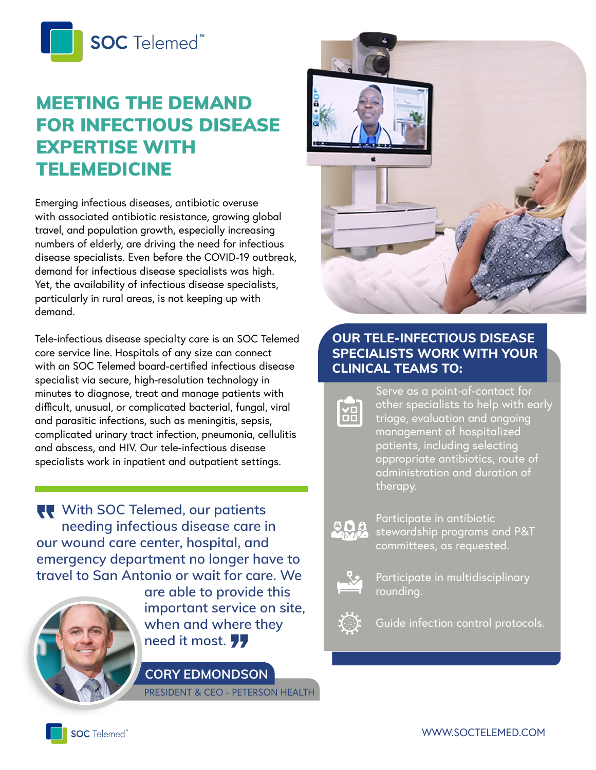

# MEETING THE DEMAND FOR INFECTIOUS DISEASE EXPERTISE WITH TELEMEDICINE

Emerging infectious diseases, antibiotic overuse with associated antibiotic resistance, growing global travel, and population growth, especially increasing numbers of elderly, are driving the need for infectious disease specialists. Even before the COVID-19 outbreak, demand for infectious disease specialists was high. Yet, the availability of infectious disease specialists, particularly in rural areas, is not keeping up with demand.

specialists work in inpatient and outpatient settings.<br>
Specialists work in inpatient and outpatient settings. Tele-infectious disease specialty care is an SOC Telemed core service line. Hospitals of any size can connect with an SOC Telemed board-certified infectious disease specialist via secure, high-resolution technology in minutes to diagnose, treat and manage patients with difficult, unusual, or complicated bacterial, fungal, viral and parasitic infections, such as meningitis, sepsis, complicated urinary tract infection, pneumonia, cellulitis and abscess, and HIV. Our tele-infectious disease

**With SOC Telemed, our patients needing infectious disease care in our wound care center, hospital, and emergency department no longer have to travel to San Antonio or wait for care. We** 



**are able to provide this important service on site,**  when and where they<br>need it most. 77

**CORY EDMONDSON**

PRESIDENT & CEO - PETERSON HEALTH



### **OUR TELE-INFECTIOUS DISEASE SPECIALISTS WORK WITH YOUR CLINICAL TEAMS TO:**



Serve as a point-of-contact for other specialists to help with early triage, evaluation and ongoing management of hospitalized patients, including selecting appropriate antibiotics, route of administration and duration of therapy.



Participate in antibiotic stewardship programs and P&T committees, as requested.



Participate in multidisciplinary rounding.

Guide infection control protocols.